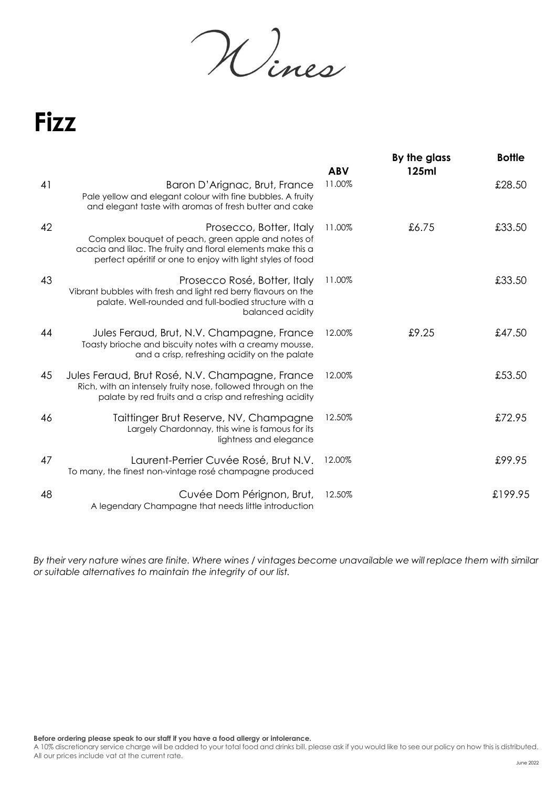Wines

## **Fizz**

|    |                                                                                                                                                                                                             | <b>ABV</b> | By the glass<br>125ml | <b>Bottle</b> |
|----|-------------------------------------------------------------------------------------------------------------------------------------------------------------------------------------------------------------|------------|-----------------------|---------------|
| 41 | Baron D'Arignac, Brut, France<br>Pale yellow and elegant colour with fine bubbles. A fruity<br>and elegant taste with aromas of fresh butter and cake                                                       | 11.00%     |                       | £28.50        |
| 42 | Prosecco, Botter, Italy<br>Complex bouquet of peach, green apple and notes of<br>acacia and lilac. The fruity and floral elements make this a<br>perfect apéritif or one to enjoy with light styles of food | 11.00%     | £6.75                 | £33.50        |
| 43 | Prosecco Rosé, Botter, Italy<br>Vibrant bubbles with fresh and light red berry flavours on the<br>palate. Well-rounded and full-bodied structure with a<br>balanced acidity                                 | 11.00%     |                       | £33.50        |
| 44 | Jules Feraud, Brut, N.V. Champagne, France<br>Toasty brioche and biscuity notes with a creamy mousse,<br>and a crisp, refreshing acidity on the palate                                                      | 12.00%     | £9.25                 | £47.50        |
| 45 | Jules Feraud, Brut Rosé, N.V. Champagne, France<br>Rich, with an intensely fruity nose, followed through on the<br>palate by red fruits and a crisp and refreshing acidity                                  | 12.00%     |                       | £53.50        |
| 46 | Taittinger Brut Reserve, NV, Champagne<br>Largely Chardonnay, this wine is famous for its<br>lightness and elegance                                                                                         | 12.50%     |                       | £72.95        |
| 47 | Laurent-Perrier Cuvée Rosé, Brut N.V.<br>To many, the finest non-vintage rosé champagne produced                                                                                                            | 12.00%     |                       | £99.95        |
| 48 | Cuvée Dom Pérignon, Brut,<br>A legendary Champagne that needs little introduction                                                                                                                           | 12.50%     |                       | £199.95       |

*By their very nature wines are finite. Where wines / vintages become unavailable we will replace them with similar or suitable alternatives to maintain the integrity of our list.*

**Before ordering please speak to our staff if you have a food allergy or intolerance.**

A 10% discretionary service charge will be added to your total food and drinks bill, please ask if you would like to see our policy on how this is distributed. All our prices include vat at the current rate.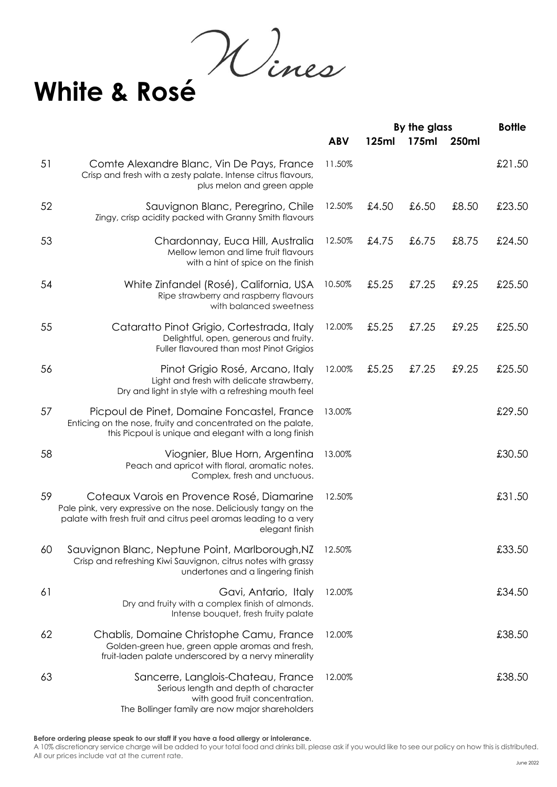**White & Rosé**

|    |                                                                                                                                                                                                      |            | By the glass |       |       | <b>Bottle</b> |
|----|------------------------------------------------------------------------------------------------------------------------------------------------------------------------------------------------------|------------|--------------|-------|-------|---------------|
|    |                                                                                                                                                                                                      | <b>ABV</b> | 125ml        | 175ml | 250ml |               |
| 51 | Comte Alexandre Blanc, Vin De Pays, France<br>Crisp and fresh with a zesty palate. Intense citrus flavours,<br>plus melon and green apple                                                            | 11.50%     |              |       |       | £21.50        |
| 52 | Sauvignon Blanc, Peregrino, Chile<br>Zingy, crisp acidity packed with Granny Smith flavours                                                                                                          | 12.50%     | £4.50        | £6.50 | £8.50 | £23.50        |
| 53 | Chardonnay, Euca Hill, Australia<br>Mellow lemon and lime fruit flavours<br>with a hint of spice on the finish                                                                                       | 12.50%     | £4.75        | £6.75 | £8.75 | £24.50        |
| 54 | White Zinfandel (Rosé), California, USA<br>Ripe strawberry and raspberry flavours<br>with balanced sweetness                                                                                         | 10.50%     | £5.25        | £7.25 | £9.25 | £25.50        |
| 55 | Cataratto Pinot Grigio, Cortestrada, Italy<br>Delightful, open, generous and fruity.<br>Fuller flavoured than most Pinot Grigios                                                                     | 12.00%     | £5.25        | £7.25 | £9.25 | £25.50        |
| 56 | Pinot Grigio Rosé, Arcano, Italy<br>Light and fresh with delicate strawberry,<br>Dry and light in style with a refreshing mouth feel                                                                 | 12.00%     | £5.25        | £7.25 | £9.25 | £25.50        |
| 57 | Picpoul de Pinet, Domaine Foncastel, France<br>Enticing on the nose, fruity and concentrated on the palate,<br>this Picpoul is unique and elegant with a long finish                                 | 13.00%     |              |       |       | £29.50        |
| 58 | Viognier, Blue Horn, Argentina<br>Peach and apricot with floral, aromatic notes.<br>Complex, fresh and unctuous.                                                                                     | 13.00%     |              |       |       | £30.50        |
| 59 | Coteaux Varois en Provence Rosé, Diamarine<br>Pale pink, very expressive on the nose. Deliciously tangy on the<br>palate with fresh fruit and citrus peel aromas leading to a very<br>elegant finish | 12.50%     |              |       |       | £31.50        |
| 60 | Sauvignon Blanc, Neptune Point, Marlborough, NZ<br>Crisp and refreshing Kiwi Sauvignon, citrus notes with grassy<br>undertones and a lingering finish                                                | 12.50%     |              |       |       | £33.50        |
| 61 | Gavi, Antario, Italy<br>Dry and fruity with a complex finish of almonds.<br>Intense bouquet, fresh fruity palate                                                                                     | 12.00%     |              |       |       | £34.50        |
| 62 | Chablis, Domaine Christophe Camu, France<br>Golden-green hue, green apple aromas and fresh,<br>fruit-laden palate underscored by a nervy minerality                                                  | 12.00%     |              |       |       | £38.50        |
| 63 | Sancerre, Langlois-Chateau, France<br>Serious length and depth of character<br>with good fruit concentration.<br>The Bollinger family are now major shareholders                                     | 12.00%     |              |       |       | £38.50        |

A 10% discretionary service charge will be added to your total food and drinks bill, please ask if you would like to see our policy on how this is distributed. All our prices include vat at the current rate.